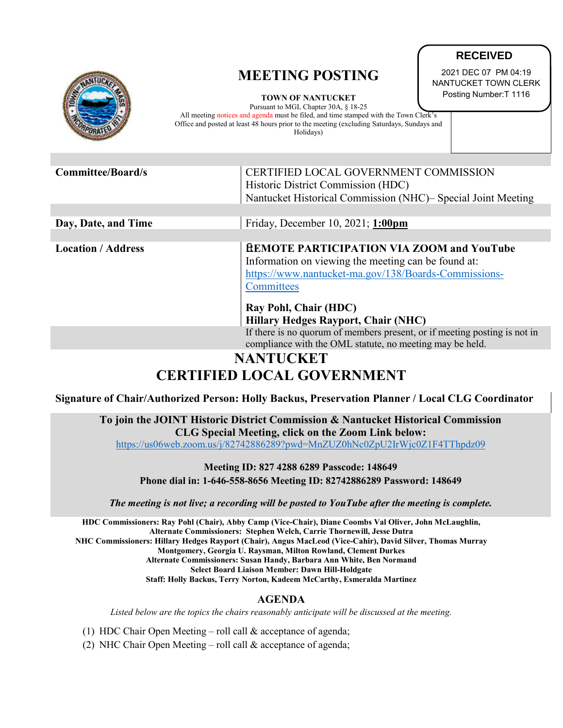|                          | <b>MEETING POSTING</b><br><b>TOWN OF NANTUCKET</b><br>Pursuant to MGL Chapter 30A, § 18-25<br>All meeting notices and agenda must be filed, and time stamped with the Town Clerk's<br>Office and posted at least 48 hours prior to the meeting (excluding Saturdays, Sundays and<br>Holidays) | 2021 DEC 07 PM 04:19<br>NANTUCKET TOWN CLERK<br>Posting Number: T 1116 |
|--------------------------|-----------------------------------------------------------------------------------------------------------------------------------------------------------------------------------------------------------------------------------------------------------------------------------------------|------------------------------------------------------------------------|
|                          |                                                                                                                                                                                                                                                                                               |                                                                        |
| <b>Committee/Board/s</b> | CERTIFIED LOCAL GOVERNMENT COMMISSION<br>Historic District Commission (HDC)<br>Nantucket Historical Commission (NHC)- Special Joint Meeting                                                                                                                                                   |                                                                        |
|                          |                                                                                                                                                                                                                                                                                               |                                                                        |
| Day, Date, and Time      | Friday, December 10, 2021; 1:00pm                                                                                                                                                                                                                                                             |                                                                        |
|                          |                                                                                                                                                                                                                                                                                               |                                                                        |

**Location / Address Transform Address REMOTE PARTICIPATION VIA ZOOM and YouTube** Information on viewing the meeting can be found at: [https://www.nantucket-ma.gov/138/Boards-Commissions-](https://www.nantucket-ma.gov/138/Boards-Commissions-Committees)**[Committees](https://www.nantucket-ma.gov/138/Boards-Commissions-Committees)** 

**Ray Pohl, Chair (HDC) Hillary Hedges Rayport, Chair (NHC)**  If there is no quorum of members present, or if meeting posting is not in compliance with the OML statute, no meeting may be held.

**RECEIVED**

## **NANTUCKET CERTIFIED LOCAL GOVERNMENT**

**Signature of Chair/Authorized Person: Holly Backus, Preservation Planner / Local CLG Coordinator**

**To join the JOINT Historic District Commission & Nantucket Historical Commission CLG Special Meeting, click on the Zoom Link below:**

<https://us06web.zoom.us/j/82742886289?pwd=MnZUZ0hNc0ZpU2IrWjc0Z1F4TThpdz09>

**Meeting ID: 827 4288 6289 Passcode: 148649 Phone dial in: 1-646-558-8656 Meeting ID: 82742886289 Password: 148649**

*The meeting is not live; a recording will be posted to YouTube after the meeting is complete.*

**HDC Commissioners: Ray Pohl (Chair), Abby Camp (Vice-Chair), Diane Coombs Val Oliver, John McLaughlin, Alternate Commissioners: Stephen Welch, Carrie Thornewill, Jesse Dutra NHC Commissioners: Hillary Hedges Rayport (Chair), Angus MacLeod (Vice-Cahir), David Silver, Thomas Murray Montgomery, Georgia U. Raysman, Milton Rowland, Clement Durkes Alternate Commissioners: Susan Handy, Barbara Ann White, Ben Normand Select Board Liaison Member: Dawn Hill-Holdgate Staff: Holly Backus, Terry Norton, Kadeem McCarthy, Esmeralda Martinez**

## **AGENDA**

*Listed below are the topics the chairs reasonably anticipate will be discussed at the meeting.*

(1) HDC Chair Open Meeting – roll call  $&$  acceptance of agenda;

(2) NHC Chair Open Meeting – roll call  $&$  acceptance of agenda;